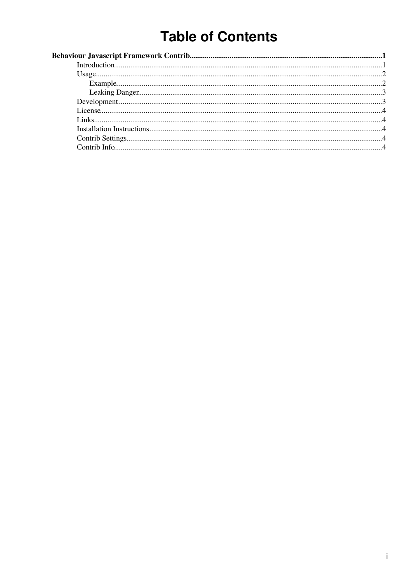# **Table of Contents**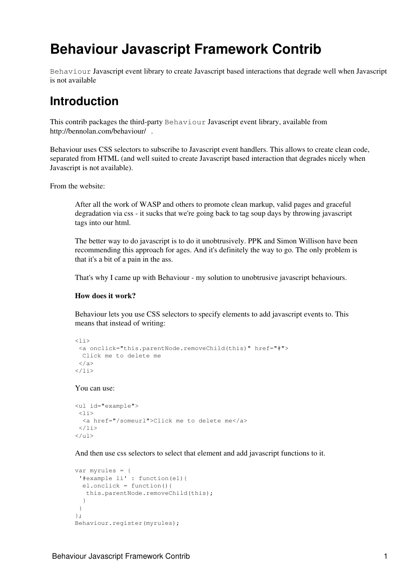# <span id="page-1-0"></span>**Behaviour Javascript Framework Contrib**

Behaviour Javascript event library to create Javascript based interactions that degrade well when Javascript is not available

### <span id="page-1-1"></span>**Introduction**

This contrib packages the third-party Behaviour Javascript event library, available from <http://bennolan.com/behaviour/> .

Behaviour uses CSS selectors to subscribe to Javascript event handlers. This allows to create clean code, separated from HTML (and well suited to create Javascript based interaction that degrades nicely when Javascript is not available).

From the website:

After all the work of WASP and others to promote clean markup, valid pages and graceful degradation via css - it sucks that we're going back to tag soup days by throwing javascript tags into our html.

The better way to do javascript is to do it unobtrusively. PPK and Simon Willison have been recommending this approach for ages. And it's definitely the way to go. The only problem is that it's a bit of a pain in the ass.

That's why I came up with Behaviour - my solution to unobtrusive javascript behaviours.

#### **How does it work?**

Behaviour lets you use CSS selectors to specify elements to add javascript events to. This means that instead of writing:

```
\langleli>
  <a onclick="this.parentNode.removeChild(this)" href="#">
  Click me to delete me
  </a>
\langle/li>
```
You can use:

```
<ul id="example">
 \langleli\rangle <a href="/someurl">Click me to delete me</a>
 \langle/li>
\langle/ul>
```
And then use css selectors to select that element and add javascript functions to it.

```
var myrules = {
  '#example li' : function(el){
  el.onclick = function(){
    this.parentNode.removeChild(this);
   }
 }
};
Behaviour.register(myrules);
```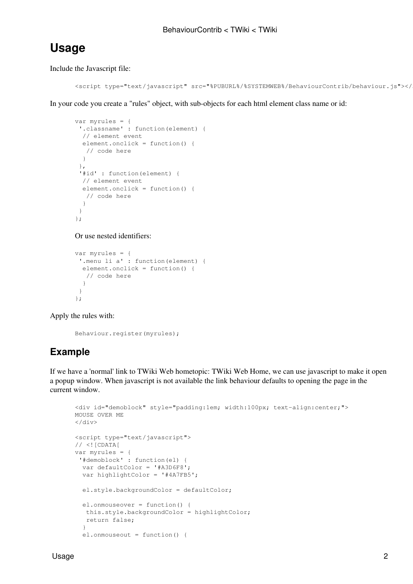### <span id="page-2-0"></span>**Usage**

Include the Javascript file:

```
<script type="text/javascript" src="%PUBURL%/%SYSTEMWEB%/BehaviourContrib/behaviour.js"></
```
In your code you create a "rules" object, with sub-objects for each html element class name or id:

```
var myrules = {
  '.classname' : function(element) {
   // element event
   element.onclick = function() {
    // code here
   }
  },
  '#id' : function(element) {
  // element event
  element.onclick = function() {
    // code here
   }
  }
};
```
Or use nested identifiers:

```
var myrules = {
  '.menu li a' : function(element) {
   element.onclick = function() {
    // code here
   }
  }
};
```
Apply the rules with:

```
Behaviour.register(myrules);
```
### <span id="page-2-1"></span>**Example**

If we have a 'normal' link to TWiki Web hometopic: [TWiki Web Home,](https://wiki-igi.cnaf.infn.it/twiki/bin/view/TWiki/WebHome) we can use javascript to make it open a popup window. When javascript is not available the link behaviour defaults to opening the page in the current window.

```
<div id="demoblock" style="padding:1em; width:100px; text-align:center;">
MOUSE OVER ME
\langle div>
<script type="text/javascript">
// <! [CDATA]
var myrules = {
  '#demoblock' : function(el) {
   var defaultColor = '#A3D6F8';
  var highlightColor = '#4A7FB5';
   el.style.backgroundColor = defaultColor;
   el.onmouseover = function() {
   this.style.backgroundColor = highlightColor;
    return false;
   }
   el.onmouseout = function() {
```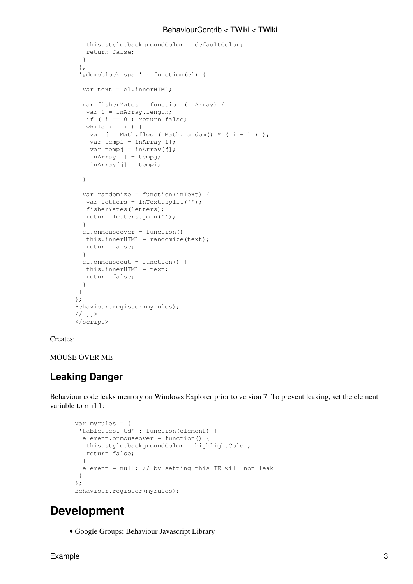### BehaviourContrib < TWiki < TWiki

```
 this.style.backgroundColor = defaultColor;
   return false;
   }
  },
  '#demoblock span' : function(el) {
 var text = el.innerHTML;
   var fisherYates = function (inArray) {
   var i = inArray.length;
  if ( i == 0 ) return false;
  while (--i) {
   var j = Math.float( Math.random() * ( i + 1 ) );
   var tempi = inArray[i];
   var tempj = inArray[j];
   inArray[i] = tempj;inArray[j] = tempi; }
   }
   var randomize = function(inText) {
  var letters = inText.split('');
   fisherYates(letters);
   return letters.join('');
   }
  el.onmouseover = function() {
  this.innerHTML = randomize(text);
   return false;
   }
   el.onmouseout = function() {
   this.innerHTML = text;
   return false;
   }
 }
};
Behaviour.register(myrules);
// ]]>
</script>
```
#### Creates:

MOUSE OVER ME

### <span id="page-3-0"></span>**Leaking Danger**

Behaviour code leaks memory on Windows Explorer prior to version 7. To prevent leaking, set the element variable to null:

```
var myrules = {
  'table.test td' : function(element) {
  element.onmouseover = function() {
   this.style.backgroundColor = highlightColor;
   return false;
  }
 element = null; // by setting this IE will not leak
  }
}; 
Behaviour.register(myrules);
```
### <span id="page-3-1"></span>**Development**

• [Google Groups: Behaviour Javascript Library](http://groups.google.com/group/behaviour)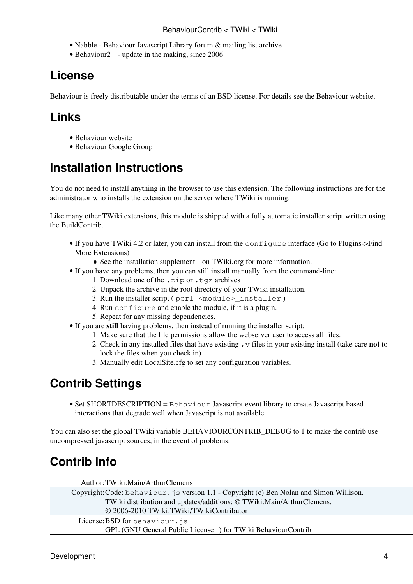- [Nabble Behaviour Javascript Library forum & mailing list archive](http://www.nabble.com/Behaviour-Javascript-Library-f16264.html)
- Behaviour<sub>2</sub> update in the making, since 2006

## <span id="page-4-0"></span>**License**

Behaviour is freely distributable under the terms of an BSD license. For details see the Behaviour website.

## <span id="page-4-1"></span>**Links**

- [Behaviour website](http://bennolan.com/behaviour/)
- [Behaviour Google Group](http://groups.google.com/group/behaviour)

## <span id="page-4-2"></span>**Installation Instructions**

You do not need to install anything in the browser to use this extension. The following instructions are for the administrator who installs the extension on the server where TWiki is running.

Like many other TWiki extensions, this module is shipped with a fully automatic installer script written using the BuildContrib.

- If you have TWiki 4.2 or later, you can install from the configure interface (Go to Plugins->Find More Extensions)
	- ♦ See the [installation supplement](http://twiki.org/cgi-bin/view/Plugins/BuildContribInstallationSupplement) on TWiki.org for more information.
- If you have any problems, then you can still install manually from the command-line:
	- 1. Download one of the .zip or .tgz archives
	- 2. Unpack the archive in the root directory of your TWiki installation.
	- 3. Run the installer script ( perl <module>\_installer )
	- 4. Run configure and enable the module, if it is a plugin.
	- 5. Repeat for any missing dependencies.
- If you are still having problems, then instead of running the installer script:
	- 1. Make sure that the file permissions allow the webserver user to access all files.
	- 2. Check in any installed files that have existing ,  $\vee$  files in your existing install (take care not to lock the files when you check in)
	- 3. Manually edit LocalSite.cfg to set any configuration variables.

### <span id="page-4-3"></span>**Contrib Settings**

• Set SHORTDESCRIPTION = Behaviour Javascript event library to create Javascript based interactions that degrade well when Javascript is not available

You can also set the global TWiki variable BEHAVIOURCONTRIB DEBUG to 1 to make the contrib use uncompressed javascript sources, in the event of problems.

## <span id="page-4-4"></span>**Contrib Info**

| Author: TWiki: Main/Arthur Clemens                                                       |
|------------------------------------------------------------------------------------------|
| Copyright: Code: behaviour. js version 1.1 - Copyright (c) Ben Nolan and Simon Willison. |
| TWiki distribution and updates/additions: © TWiki:Main/ArthurClemens.                    |
| © 2006-2010 TWiki:TWiki/TWikiContributor                                                 |
| License: BSD for behaviour. js                                                           |
| GPL (GNU General Public License) for TWiki BehaviourContrib                              |